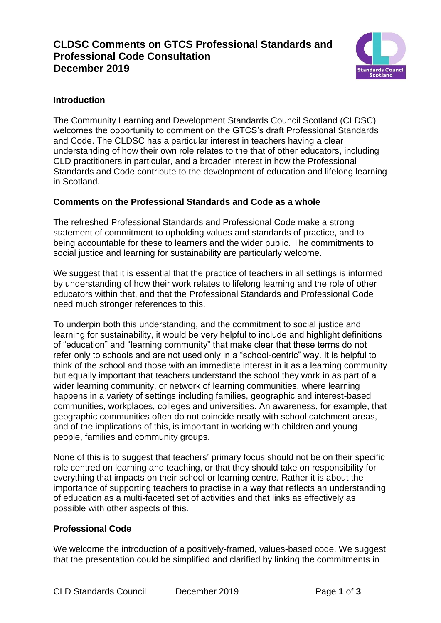# **CLDSC Comments on GTCS Professional Standards and Professional Code Consultation December 2019**



## **Introduction**

The Community Learning and Development Standards Council Scotland (CLDSC) welcomes the opportunity to comment on the GTCS's draft Professional Standards and Code. The CLDSC has a particular interest in teachers having a clear understanding of how their own role relates to the that of other educators, including CLD practitioners in particular, and a broader interest in how the Professional Standards and Code contribute to the development of education and lifelong learning in Scotland.

## **Comments on the Professional Standards and Code as a whole**

The refreshed Professional Standards and Professional Code make a strong statement of commitment to upholding values and standards of practice, and to being accountable for these to learners and the wider public. The commitments to social justice and learning for sustainability are particularly welcome.

We suggest that it is essential that the practice of teachers in all settings is informed by understanding of how their work relates to lifelong learning and the role of other educators within that, and that the Professional Standards and Professional Code need much stronger references to this.

To underpin both this understanding, and the commitment to social justice and learning for sustainability, it would be very helpful to include and highlight definitions of "education" and "learning community" that make clear that these terms do not refer only to schools and are not used only in a "school-centric" way. It is helpful to think of the school and those with an immediate interest in it as a learning community but equally important that teachers understand the school they work in as part of a wider learning community, or network of learning communities, where learning happens in a variety of settings including families, geographic and interest-based communities, workplaces, colleges and universities. An awareness, for example, that geographic communities often do not coincide neatly with school catchment areas, and of the implications of this, is important in working with children and young people, families and community groups.

None of this is to suggest that teachers' primary focus should not be on their specific role centred on learning and teaching, or that they should take on responsibility for everything that impacts on their school or learning centre. Rather it is about the importance of supporting teachers to practise in a way that reflects an understanding of education as a multi-faceted set of activities and that links as effectively as possible with other aspects of this.

## **Professional Code**

We welcome the introduction of a positively-framed, values-based code. We suggest that the presentation could be simplified and clarified by linking the commitments in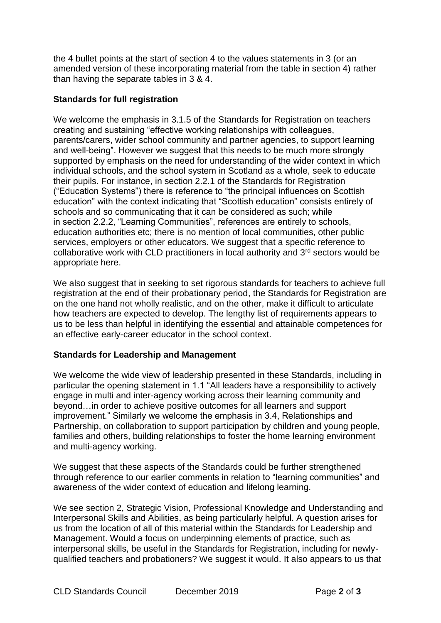the 4 bullet points at the start of section 4 to the values statements in 3 (or an amended version of these incorporating material from the table in section 4) rather than having the separate tables in 3 & 4.

### **Standards for full registration**

We welcome the emphasis in 3.1.5 of the Standards for Registration on teachers creating and sustaining "effective working relationships with colleagues, parents/carers, wider school community and partner agencies, to support learning and well-being". However we suggest that this needs to be much more strongly supported by emphasis on the need for understanding of the wider context in which individual schools, and the school system in Scotland as a whole, seek to educate their pupils. For instance, in section 2.2.1 of the Standards for Registration ("Education Systems") there is reference to "the principal influences on Scottish education" with the context indicating that "Scottish education" consists entirely of schools and so communicating that it can be considered as such; while in section 2.2.2, "Learning Communities", references are entirely to schools, education authorities etc; there is no mention of local communities, other public services, employers or other educators. We suggest that a specific reference to collaborative work with CLD practitioners in local authority and 3rd sectors would be appropriate here.

We also suggest that in seeking to set rigorous standards for teachers to achieve full registration at the end of their probationary period, the Standards for Registration are on the one hand not wholly realistic, and on the other, make it difficult to articulate how teachers are expected to develop. The lengthy list of requirements appears to us to be less than helpful in identifying the essential and attainable competences for an effective early-career educator in the school context.

## **Standards for Leadership and Management**

We welcome the wide view of leadership presented in these Standards, including in particular the opening statement in 1.1 "All leaders have a responsibility to actively engage in multi and inter-agency working across their learning community and beyond…in order to achieve positive outcomes for all learners and support improvement." Similarly we welcome the emphasis in 3.4, Relationships and Partnership, on collaboration to support participation by children and young people, families and others, building relationships to foster the home learning environment and multi-agency working.

We suggest that these aspects of the Standards could be further strengthened through reference to our earlier comments in relation to "learning communities" and awareness of the wider context of education and lifelong learning.

We see section 2, Strategic Vision, Professional Knowledge and Understanding and Interpersonal Skills and Abilities, as being particularly helpful. A question arises for us from the location of all of this material within the Standards for Leadership and Management. Would a focus on underpinning elements of practice, such as interpersonal skills, be useful in the Standards for Registration, including for newlyqualified teachers and probationers? We suggest it would. It also appears to us that